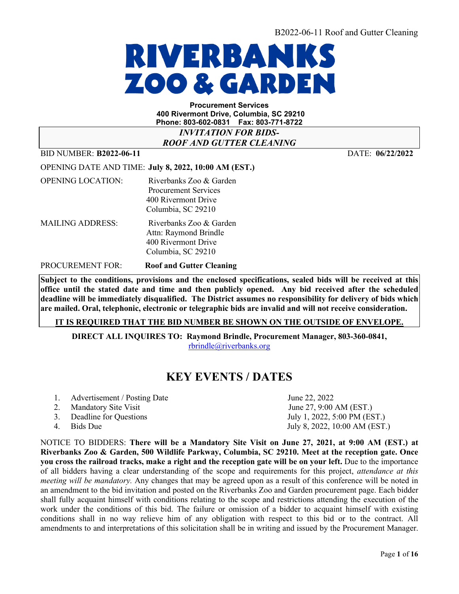

**Procurement Services 400 Rivermont Drive, Columbia, SC 29210 Phone: 803-602-0831 Fax: 803-771-8722**

*INVITATION FOR BIDS-ROOF AND GUTTER CLEANING*

BID NUMBER: **B2022-06-11** DATE: **06/22/2022** 

OPENING DATE AND TIME: **July 8, 2022, 10:00 AM (EST.)** 

OPENING LOCATION: Riverbanks Zoo & Garden Procurement Services 400 Rivermont Drive Columbia, SC 29210 MAILING ADDRESS: Riverbanks Zoo & Garden Attn: Raymond Brindle 400 Rivermont Drive Columbia, SC 29210

PROCUREMENT FOR: **Roof and Gutter Cleaning** 

**Subject to the conditions, provisions and the enclosed specifications, sealed bids will be received at this office until the stated date and time and then publicly opened. Any bid received after the scheduled deadline will be immediately disqualified. The District assumes no responsibility for delivery of bids which are mailed. Oral, telephonic, electronic or telegraphic bids are invalid and will not receive consideration.**

**IT IS REQUIRED THAT THE BID NUMBER BE SHOWN ON THE OUTSIDE OF ENVELOPE.** 

**DIRECT ALL INQUIRES TO: Raymond Brindle, Procurement Manager, 803-360-0841,** [rbrindle@riverbanks.org](mailto:rbrindle@riverbanks.org)

## **KEY EVENTS / DATES**

June 22, 2022

- 2. Mandatory Site Visit  $\qquad \qquad$  June 27, 9:00 AM (EST.)
- 3. Deadline for Questions July 1, 2022, 5:00 PM (EST.)
- 4. Bids Due July 8, 2022, 10:00 AM (EST.)

NOTICE TO BIDDERS: **There will be a Mandatory Site Visit on June 27, 2021, at 9:00 AM (EST.) at Riverbanks Zoo & Garden, 500 Wildlife Parkway, Columbia, SC 29210. Meet at the reception gate. Once you cross the railroad tracks, make a right and the reception gate will be on your left.** Due to the importance of all bidders having a clear understanding of the scope and requirements for this project, *attendance at this meeting will be mandatory.* Any changes that may be agreed upon as a result of this conference will be noted in an amendment to the bid invitation and posted on the Riverbanks Zoo and Garden procurement page. Each bidder shall fully acquaint himself with conditions relating to the scope and restrictions attending the execution of the work under the conditions of this bid. The failure or omission of a bidder to acquaint himself with existing conditions shall in no way relieve him of any obligation with respect to this bid or to the contract. All amendments to and interpretations of this solicitation shall be in writing and issued by the Procurement Manager.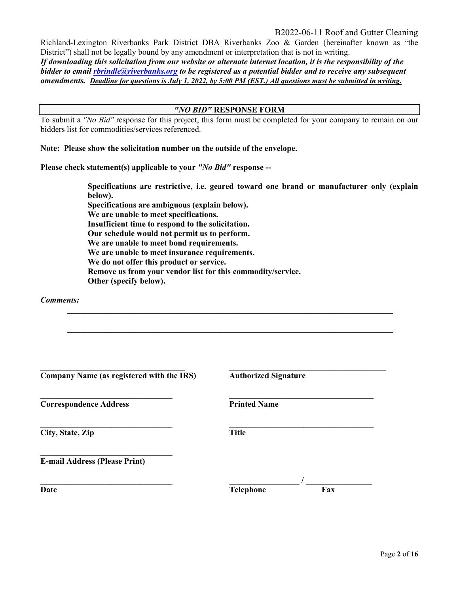Richland-Lexington Riverbanks Park District DBA Riverbanks Zoo & Garden (hereinafter known as "the District") shall not be legally bound by any amendment or interpretation that is not in writing.

*If downloading this solicitation from our website or alternate internet location, it is the responsibility of the bidder to email [rbrindle@riverbanks.org](mailto:rbrindle@riverbanks.org) to be registered as a potential bidder and to receive any subsequent amendments. Deadline for questions is July 1, 2022, by 5:00 PM (EST.) All questions must be submitted in writing.*

#### *"NO BID"* **RESPONSE FORM**

To submit a *"No Bid"* response for this project, this form must be completed for your company to remain on our bidders list for commodities/services referenced.

**Note: Please show the solicitation number on the outside of the envelope.** 

**Please check statement(s) applicable to your** *"No Bid"* **response --**

 **Specifications are restrictive, i.e. geared toward one brand or manufacturer only (explain below). Specifications are ambiguous (explain below). We are unable to meet specifications. Insufficient time to respond to the solicitation. Our schedule would not permit us to perform. We are unable to meet bond requirements. We are unable to meet insurance requirements. We do not offer this product or service. Remove us from your vendor list for this commodity/service. Other (specify below).**

**\_\_\_\_\_\_\_\_\_\_\_\_\_\_\_\_\_\_\_\_\_\_\_\_\_\_\_\_\_\_\_\_\_\_\_\_\_\_\_\_\_\_\_\_\_\_\_\_\_\_\_\_\_\_\_\_\_\_\_\_\_\_\_\_\_\_\_\_\_\_\_\_\_\_\_\_\_\_\_** 

**\_\_\_\_\_\_\_\_\_\_\_\_\_\_\_\_\_\_\_\_\_\_\_\_\_\_\_\_\_\_\_\_\_\_\_\_\_\_\_\_\_\_\_\_\_\_\_\_\_\_\_\_\_\_\_\_\_\_\_\_\_\_\_\_\_\_\_\_\_\_\_\_\_\_\_\_\_\_\_** 

*Comments:* 

| Company Name (as registered with the IRS) | <b>Authorized Signature</b> |
|-------------------------------------------|-----------------------------|
| <b>Correspondence Address</b>             | <b>Printed Name</b>         |
| City, State, Zip                          | <b>Title</b>                |
| <b>E-mail Address (Please Print)</b>      |                             |
| Date                                      | <b>Telephone</b><br>Fax     |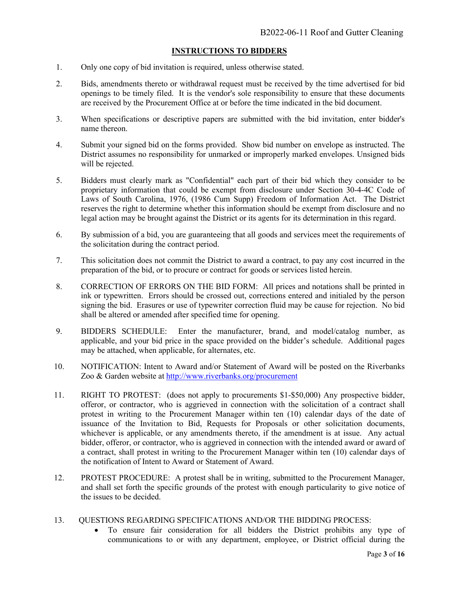#### **INSTRUCTIONS TO BIDDERS**

- 1. Only one copy of bid invitation is required, unless otherwise stated.
- 2. Bids, amendments thereto or withdrawal request must be received by the time advertised for bid openings to be timely filed. It is the vendor's sole responsibility to ensure that these documents are received by the Procurement Office at or before the time indicated in the bid document.
- 3. When specifications or descriptive papers are submitted with the bid invitation, enter bidder's name thereon.
- 4. Submit your signed bid on the forms provided. Show bid number on envelope as instructed. The District assumes no responsibility for unmarked or improperly marked envelopes. Unsigned bids will be rejected.
- 5. Bidders must clearly mark as "Confidential" each part of their bid which they consider to be proprietary information that could be exempt from disclosure under Section 30-4-4C Code of Laws of South Carolina, 1976, (1986 Cum Supp) Freedom of Information Act. The District reserves the right to determine whether this information should be exempt from disclosure and no legal action may be brought against the District or its agents for its determination in this regard.
- 6. By submission of a bid, you are guaranteeing that all goods and services meet the requirements of the solicitation during the contract period.
- 7. This solicitation does not commit the District to award a contract, to pay any cost incurred in the preparation of the bid, or to procure or contract for goods or services listed herein.
- 8. CORRECTION OF ERRORS ON THE BID FORM: All prices and notations shall be printed in ink or typewritten. Errors should be crossed out, corrections entered and initialed by the person signing the bid. Erasures or use of typewriter correction fluid may be cause for rejection. No bid shall be altered or amended after specified time for opening.
- 9. BIDDERS SCHEDULE: Enter the manufacturer, brand, and model/catalog number, as applicable, and your bid price in the space provided on the bidder's schedule. Additional pages may be attached, when applicable, for alternates, etc.
- 10. NOTIFICATION: Intent to Award and/or Statement of Award will be posted on the Riverbanks Zoo & Garden website at <http://www.riverbanks.org/procurement>
- 11. RIGHT TO PROTEST: (does not apply to procurements \$1-\$50,000) Any prospective bidder, offeror, or contractor, who is aggrieved in connection with the solicitation of a contract shall protest in writing to the Procurement Manager within ten (10) calendar days of the date of issuance of the Invitation to Bid, Requests for Proposals or other solicitation documents, whichever is applicable, or any amendments thereto, if the amendment is at issue. Any actual bidder, offeror, or contractor, who is aggrieved in connection with the intended award or award of a contract, shall protest in writing to the Procurement Manager within ten (10) calendar days of the notification of Intent to Award or Statement of Award.
- 12. PROTEST PROCEDURE: A protest shall be in writing, submitted to the Procurement Manager, and shall set forth the specific grounds of the protest with enough particularity to give notice of the issues to be decided.
- 13. QUESTIONS REGARDING SPECIFICATIONS AND/OR THE BIDDING PROCESS:
	- To ensure fair consideration for all bidders the District prohibits any type of communications to or with any department, employee, or District official during the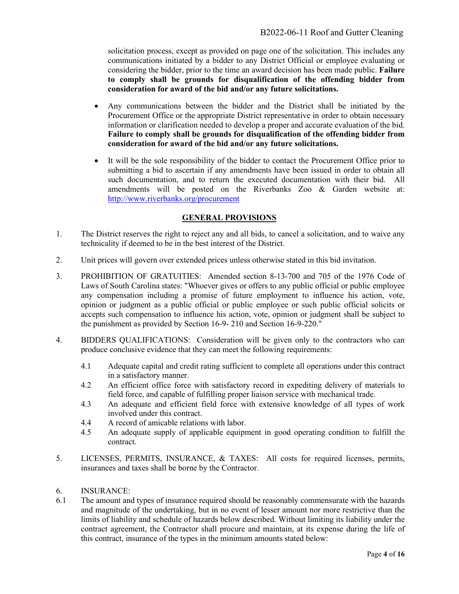solicitation process, except as provided on page one of the solicitation. This includes any communications initiated by a bidder to any District Official or employee evaluating or considering the bidder, prior to the time an award decision has been made public. **Failure to comply shall be grounds for disqualification of the offending bidder from consideration for award of the bid and/or any future solicitations.**

- Any communications between the bidder and the District shall be initiated by the Procurement Office or the appropriate District representative in order to obtain necessary information or clarification needed to develop a proper and accurate evaluation of the bid. **Failure to comply shall be grounds for disqualification of the offending bidder from consideration for award of the bid and/or any future solicitations.**
- It will be the sole responsibility of the bidder to contact the Procurement Office prior to submitting a bid to ascertain if any amendments have been issued in order to obtain all such documentation, and to return the executed documentation with their bid. All amendments will be posted on the Riverbanks Zoo & Garden website at: <http://www.riverbanks.org/procurement>

#### **GENERAL PROVISIONS**

- 1. The District reserves the right to reject any and all bids, to cancel a solicitation, and to waive any technicality if deemed to be in the best interest of the District.
- 2. Unit prices will govern over extended prices unless otherwise stated in this bid invitation.
- 3. PROHIBITION OF GRATUITIES: Amended section 8-13-700 and 705 of the 1976 Code of Laws of South Carolina states: "Whoever gives or offers to any public official or public employee any compensation including a promise of future employment to influence his action, vote, opinion or judgment as a public official or public employee or such public official solicits or accepts such compensation to influence his action, vote, opinion or judgment shall be subject to the punishment as provided by Section 16-9- 210 and Section 16-9-220."
- 4. BIDDERS QUALIFICATIONS: Consideration will be given only to the contractors who can produce conclusive evidence that they can meet the following requirements:
	- 4.1 Adequate capital and credit rating sufficient to complete all operations under this contract in a satisfactory manner.
	- 4.2 An efficient office force with satisfactory record in expediting delivery of materials to field force, and capable of fulfilling proper liaison service with mechanical trade.
	- 4.3 An adequate and efficient field force with extensive knowledge of all types of work involved under this contract.
	- 4.4 A record of amicable relations with labor.
	- 4.5 An adequate supply of applicable equipment in good operating condition to fulfill the contract.
- 5. LICENSES, PERMITS, INSURANCE, & TAXES: All costs for required licenses, permits, insurances and taxes shall be borne by the Contractor.
- 6. INSURANCE:
- 6.1 The amount and types of insurance required should be reasonably commensurate with the hazards and magnitude of the undertaking, but in no event of lesser amount nor more restrictive than the limits of liability and schedule of hazards below described. Without limiting its liability under the contract agreement, the Contractor shall procure and maintain, at its expense during the life of this contract, insurance of the types in the minimum amounts stated below: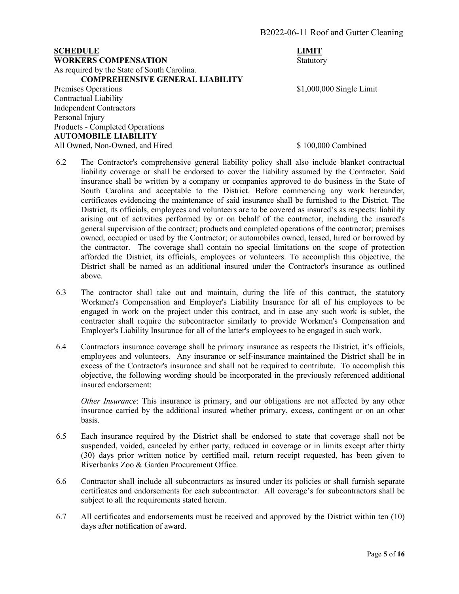## **SCHEDULE** LIMIT **WORKERS COMPENSATION** Statutory As required by the State of South Carolina. **COMPREHENSIVE GENERAL LIABILITY** Premises Operations  $$1,000,000$  Single Limit

Contractual Liability Independent Contractors Personal Injury Products - Completed Operations **AUTOMOBILE LIABILITY** All Owned, Non-Owned, and Hired \$ 100,000 Combined \$ 100,000 Combined \$ 100,000 Combined \$ 100,000 Combined \$ 100,000 Combined \$ 100,000 Combined \$ 100,000 Combined \$ 100,000 Combined \$ 100,000 Combined \$ 100,000 Combined

- 6.2 The Contractor's comprehensive general liability policy shall also include blanket contractual liability coverage or shall be endorsed to cover the liability assumed by the Contractor. Said insurance shall be written by a company or companies approved to do business in the State of South Carolina and acceptable to the District. Before commencing any work hereunder, certificates evidencing the maintenance of said insurance shall be furnished to the District. The District, its officials, employees and volunteers are to be covered as insured's as respects: liability arising out of activities performed by or on behalf of the contractor, including the insured's general supervision of the contract; products and completed operations of the contractor; premises owned, occupied or used by the Contractor; or automobiles owned, leased, hired or borrowed by the contractor. The coverage shall contain no special limitations on the scope of protection afforded the District, its officials, employees or volunteers. To accomplish this objective, the District shall be named as an additional insured under the Contractor's insurance as outlined above.
- 6.3 The contractor shall take out and maintain, during the life of this contract, the statutory Workmen's Compensation and Employer's Liability Insurance for all of his employees to be engaged in work on the project under this contract, and in case any such work is sublet, the contractor shall require the subcontractor similarly to provide Workmen's Compensation and Employer's Liability Insurance for all of the latter's employees to be engaged in such work.
- 6.4 Contractors insurance coverage shall be primary insurance as respects the District, it's officials, employees and volunteers. Any insurance or self-insurance maintained the District shall be in excess of the Contractor's insurance and shall not be required to contribute. To accomplish this objective, the following wording should be incorporated in the previously referenced additional insured endorsement:

*Other Insurance*: This insurance is primary, and our obligations are not affected by any other insurance carried by the additional insured whether primary, excess, contingent or on an other basis.

- 6.5 Each insurance required by the District shall be endorsed to state that coverage shall not be suspended, voided, canceled by either party, reduced in coverage or in limits except after thirty (30) days prior written notice by certified mail, return receipt requested, has been given to Riverbanks Zoo & Garden Procurement Office.
- 6.6 Contractor shall include all subcontractors as insured under its policies or shall furnish separate certificates and endorsements for each subcontractor. All coverage's for subcontractors shall be subject to all the requirements stated herein.
- 6.7 All certificates and endorsements must be received and approved by the District within ten (10) days after notification of award.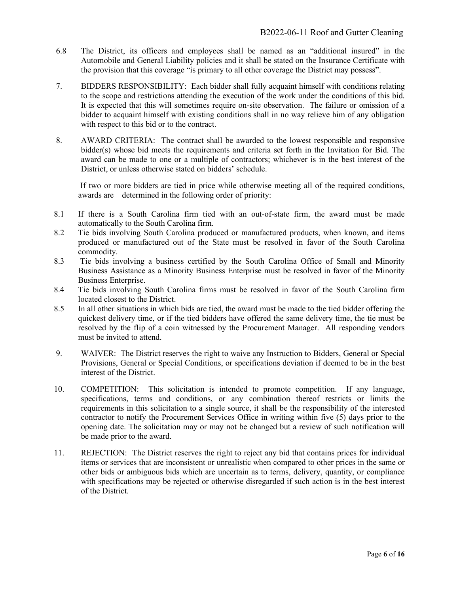- 6.8 The District, its officers and employees shall be named as an "additional insured" in the Automobile and General Liability policies and it shall be stated on the Insurance Certificate with the provision that this coverage "is primary to all other coverage the District may possess".
- 7. BIDDERS RESPONSIBILITY: Each bidder shall fully acquaint himself with conditions relating to the scope and restrictions attending the execution of the work under the conditions of this bid. It is expected that this will sometimes require on-site observation. The failure or omission of a bidder to acquaint himself with existing conditions shall in no way relieve him of any obligation with respect to this bid or to the contract.
- 8. AWARD CRITERIA: The contract shall be awarded to the lowest responsible and responsive bidder(s) whose bid meets the requirements and criteria set forth in the Invitation for Bid. The award can be made to one or a multiple of contractors; whichever is in the best interest of the District, or unless otherwise stated on bidders' schedule.

If two or more bidders are tied in price while otherwise meeting all of the required conditions, awards are determined in the following order of priority:

- 8.1 If there is a South Carolina firm tied with an out-of-state firm, the award must be made automatically to the South Carolina firm.
- 8.2 Tie bids involving South Carolina produced or manufactured products, when known, and items produced or manufactured out of the State must be resolved in favor of the South Carolina commodity.
- 8.3 Tie bids involving a business certified by the South Carolina Office of Small and Minority Business Assistance as a Minority Business Enterprise must be resolved in favor of the Minority Business Enterprise.
- 8.4 Tie bids involving South Carolina firms must be resolved in favor of the South Carolina firm located closest to the District.
- 8.5 In all other situations in which bids are tied, the award must be made to the tied bidder offering the quickest delivery time, or if the tied bidders have offered the same delivery time, the tie must be resolved by the flip of a coin witnessed by the Procurement Manager. All responding vendors must be invited to attend.
- 9. WAIVER: The District reserves the right to waive any Instruction to Bidders, General or Special Provisions, General or Special Conditions, or specifications deviation if deemed to be in the best interest of the District.
- 10. COMPETITION: This solicitation is intended to promote competition. If any language, specifications, terms and conditions, or any combination thereof restricts or limits the requirements in this solicitation to a single source, it shall be the responsibility of the interested contractor to notify the Procurement Services Office in writing within five (5) days prior to the opening date. The solicitation may or may not be changed but a review of such notification will be made prior to the award.
- 11. REJECTION: The District reserves the right to reject any bid that contains prices for individual items or services that are inconsistent or unrealistic when compared to other prices in the same or other bids or ambiguous bids which are uncertain as to terms, delivery, quantity, or compliance with specifications may be rejected or otherwise disregarded if such action is in the best interest of the District.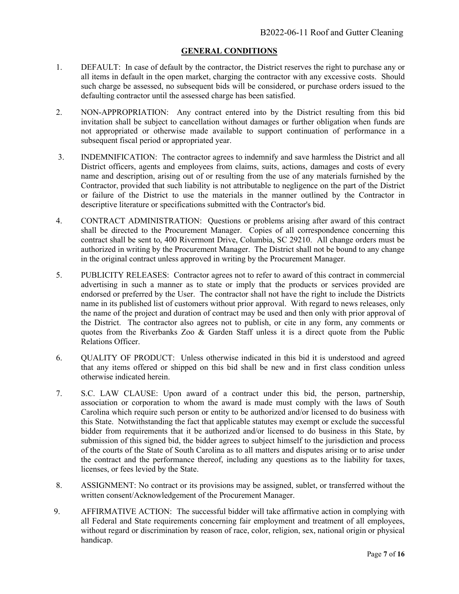#### **GENERAL CONDITIONS**

- 1. DEFAULT: In case of default by the contractor, the District reserves the right to purchase any or all items in default in the open market, charging the contractor with any excessive costs. Should such charge be assessed, no subsequent bids will be considered, or purchase orders issued to the defaulting contractor until the assessed charge has been satisfied.
- 2. NON-APPROPRIATION: Any contract entered into by the District resulting from this bid invitation shall be subject to cancellation without damages or further obligation when funds are not appropriated or otherwise made available to support continuation of performance in a subsequent fiscal period or appropriated year.
- 3. INDEMNIFICATION: The contractor agrees to indemnify and save harmless the District and all District officers, agents and employees from claims, suits, actions, damages and costs of every name and description, arising out of or resulting from the use of any materials furnished by the Contractor, provided that such liability is not attributable to negligence on the part of the District or failure of the District to use the materials in the manner outlined by the Contractor in descriptive literature or specifications submitted with the Contractor's bid.
- 4. CONTRACT ADMINISTRATION: Questions or problems arising after award of this contract shall be directed to the Procurement Manager. Copies of all correspondence concerning this contract shall be sent to, 400 Rivermont Drive, Columbia, SC 29210. All change orders must be authorized in writing by the Procurement Manager. The District shall not be bound to any change in the original contract unless approved in writing by the Procurement Manager.
- 5. PUBLICITY RELEASES: Contractor agrees not to refer to award of this contract in commercial advertising in such a manner as to state or imply that the products or services provided are endorsed or preferred by the User. The contractor shall not have the right to include the Districts name in its published list of customers without prior approval. With regard to news releases, only the name of the project and duration of contract may be used and then only with prior approval of the District. The contractor also agrees not to publish, or cite in any form, any comments or quotes from the Riverbanks Zoo & Garden Staff unless it is a direct quote from the Public Relations Officer.
- 6. QUALITY OF PRODUCT: Unless otherwise indicated in this bid it is understood and agreed that any items offered or shipped on this bid shall be new and in first class condition unless otherwise indicated herein.
- 7. S.C. LAW CLAUSE: Upon award of a contract under this bid, the person, partnership, association or corporation to whom the award is made must comply with the laws of South Carolina which require such person or entity to be authorized and/or licensed to do business with this State. Notwithstanding the fact that applicable statutes may exempt or exclude the successful bidder from requirements that it be authorized and/or licensed to do business in this State, by submission of this signed bid, the bidder agrees to subject himself to the jurisdiction and process of the courts of the State of South Carolina as to all matters and disputes arising or to arise under the contract and the performance thereof, including any questions as to the liability for taxes, licenses, or fees levied by the State.
- 8. ASSIGNMENT: No contract or its provisions may be assigned, sublet, or transferred without the written consent/Acknowledgement of the Procurement Manager.
- 9. AFFIRMATIVE ACTION: The successful bidder will take affirmative action in complying with all Federal and State requirements concerning fair employment and treatment of all employees, without regard or discrimination by reason of race, color, religion, sex, national origin or physical handicap.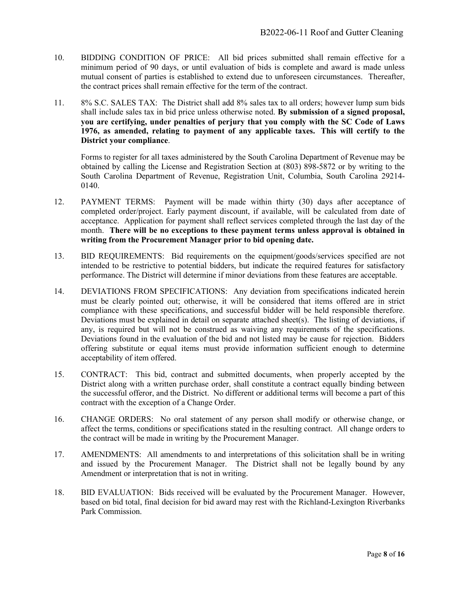- 10. BIDDING CONDITION OF PRICE: All bid prices submitted shall remain effective for a minimum period of 90 days, or until evaluation of bids is complete and award is made unless mutual consent of parties is established to extend due to unforeseen circumstances. Thereafter, the contract prices shall remain effective for the term of the contract.
- 11. 8% S.C. SALES TAX: The District shall add 8% sales tax to all orders; however lump sum bids shall include sales tax in bid price unless otherwise noted. **By submission of a signed proposal, you are certifying, under penalties of perjury that you comply with the SC Code of Laws 1976, as amended, relating to payment of any applicable taxes. This will certify to the District your compliance**.

Forms to register for all taxes administered by the South Carolina Department of Revenue may be obtained by calling the License and Registration Section at (803) 898-5872 or by writing to the South Carolina Department of Revenue, Registration Unit, Columbia, South Carolina 29214- 0140.

- 12. PAYMENT TERMS: Payment will be made within thirty (30) days after acceptance of completed order/project. Early payment discount, if available, will be calculated from date of acceptance. Application for payment shall reflect services completed through the last day of the month. **There will be no exceptions to these payment terms unless approval is obtained in writing from the Procurement Manager prior to bid opening date.**
- 13. BID REQUIREMENTS: Bid requirements on the equipment/goods/services specified are not intended to be restrictive to potential bidders, but indicate the required features for satisfactory performance. The District will determine if minor deviations from these features are acceptable.
- 14. DEVIATIONS FROM SPECIFICATIONS: Any deviation from specifications indicated herein must be clearly pointed out; otherwise, it will be considered that items offered are in strict compliance with these specifications, and successful bidder will be held responsible therefore. Deviations must be explained in detail on separate attached sheet(s). The listing of deviations, if any, is required but will not be construed as waiving any requirements of the specifications. Deviations found in the evaluation of the bid and not listed may be cause for rejection. Bidders offering substitute or equal items must provide information sufficient enough to determine acceptability of item offered.
- 15. CONTRACT: This bid, contract and submitted documents, when properly accepted by the District along with a written purchase order, shall constitute a contract equally binding between the successful offeror, and the District. No different or additional terms will become a part of this contract with the exception of a Change Order.
- 16. CHANGE ORDERS: No oral statement of any person shall modify or otherwise change, or affect the terms, conditions or specifications stated in the resulting contract. All change orders to the contract will be made in writing by the Procurement Manager.
- 17. AMENDMENTS: All amendments to and interpretations of this solicitation shall be in writing and issued by the Procurement Manager. The District shall not be legally bound by any Amendment or interpretation that is not in writing.
- 18. BID EVALUATION: Bids received will be evaluated by the Procurement Manager. However, based on bid total, final decision for bid award may rest with the Richland-Lexington Riverbanks Park Commission.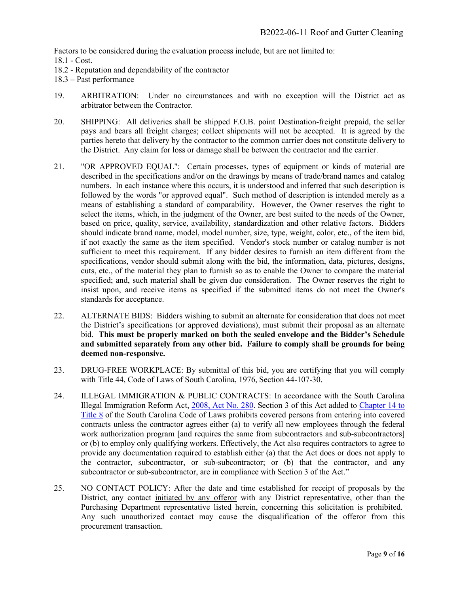Factors to be considered during the evaluation process include, but are not limited to:

- 18.1 Cost.
- 18.2 Reputation and dependability of the contractor
- 18.3 Past performance
- 19. ARBITRATION: Under no circumstances and with no exception will the District act as arbitrator between the Contractor.
- 20. SHIPPING: All deliveries shall be shipped F.O.B. point Destination-freight prepaid, the seller pays and bears all freight charges; collect shipments will not be accepted. It is agreed by the parties hereto that delivery by the contractor to the common carrier does not constitute delivery to the District. Any claim for loss or damage shall be between the contractor and the carrier.
- 21. "OR APPROVED EQUAL": Certain processes, types of equipment or kinds of material are described in the specifications and/or on the drawings by means of trade/brand names and catalog numbers. In each instance where this occurs, it is understood and inferred that such description is followed by the words "or approved equal". Such method of description is intended merely as a means of establishing a standard of comparability. However, the Owner reserves the right to select the items, which, in the judgment of the Owner, are best suited to the needs of the Owner, based on price, quality, service, availability, standardization and other relative factors. Bidders should indicate brand name, model, model number, size, type, weight, color, etc., of the item bid, if not exactly the same as the item specified. Vendor's stock number or catalog number is not sufficient to meet this requirement. If any bidder desires to furnish an item different from the specifications, vendor should submit along with the bid, the information, data, pictures, designs, cuts, etc., of the material they plan to furnish so as to enable the Owner to compare the material specified; and, such material shall be given due consideration. The Owner reserves the right to insist upon, and receive items as specified if the submitted items do not meet the Owner's standards for acceptance.
- 22. ALTERNATE BIDS: Bidders wishing to submit an alternate for consideration that does not meet the District's specifications (or approved deviations), must submit their proposal as an alternate bid. **This must be properly marked on both the sealed envelope and the Bidder's Schedule and submitted separately from any other bid. Failure to comply shall be grounds for being deemed non-responsive.**
- 23. DRUG-FREE WORKPLACE: By submittal of this bid, you are certifying that you will comply with Title 44, Code of Laws of South Carolina, 1976, Section 44-107-30.
- 24. ILLEGAL IMMIGRATION & PUBLIC CONTRACTS: In accordance with the South Carolina Illegal Immigration Reform Act, [2008, Act No. 280.](http://www.scstatehouse.net/sess117_2007-2008/bills/4400.htm) Section 3 of this Act added to [Chapter 14 to](http://www.scstatehouse.net/code/t08c014.htm)  [Title 8](http://www.scstatehouse.net/code/t08c014.htm) of the South Carolina Code of Laws prohibits covered persons from entering into covered contracts unless the contractor agrees either (a) to verify all new employees through the federal work authorization program [and requires the same from subcontractors and sub-subcontractors] or (b) to employ only qualifying workers. Effectively, the Act also requires contractors to agree to provide any documentation required to establish either (a) that the Act does or does not apply to the contractor, subcontractor, or sub-subcontractor; or (b) that the contractor, and any subcontractor or sub-subcontractor, are in compliance with Section 3 of the Act."
- 25. NO CONTACT POLICY: After the date and time established for receipt of proposals by the District, any contact initiated by any offeror with any District representative, other than the Purchasing Department representative listed herein, concerning this solicitation is prohibited. Any such unauthorized contact may cause the disqualification of the offeror from this procurement transaction.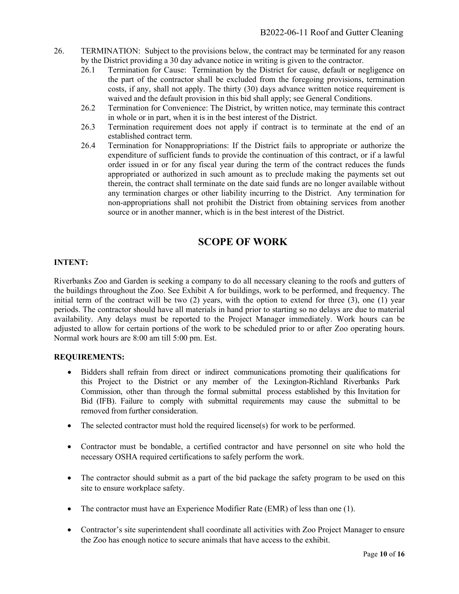- 26. TERMINATION: Subject to the provisions below, the contract may be terminated for any reason by the District providing a 30 day advance notice in writing is given to the contractor.
	- 26.1 Termination for Cause: Termination by the District for cause, default or negligence on the part of the contractor shall be excluded from the foregoing provisions, termination costs, if any, shall not apply. The thirty (30) days advance written notice requirement is waived and the default provision in this bid shall apply; see General Conditions.
	- 26.2 Termination for Convenience: The District, by written notice, may terminate this contract in whole or in part, when it is in the best interest of the District.
	- 26.3 Termination requirement does not apply if contract is to terminate at the end of an established contract term.
	- 26.4 Termination for Nonappropriations: If the District fails to appropriate or authorize the expenditure of sufficient funds to provide the continuation of this contract, or if a lawful order issued in or for any fiscal year during the term of the contract reduces the funds appropriated or authorized in such amount as to preclude making the payments set out therein, the contract shall terminate on the date said funds are no longer available without any termination charges or other liability incurring to the District. Any termination for non-appropriations shall not prohibit the District from obtaining services from another source or in another manner, which is in the best interest of the District.

### **SCOPE OF WORK**

#### **INTENT:**

Riverbanks Zoo and Garden is seeking a company to do all necessary cleaning to the roofs and gutters of the buildings throughout the Zoo. See Exhibit A for buildings, work to be performed, and frequency. The initial term of the contract will be two (2) years, with the option to extend for three (3), one (1) year periods. The contractor should have all materials in hand prior to starting so no delays are due to material availability. Any delays must be reported to the Project Manager immediately. Work hours can be adjusted to allow for certain portions of the work to be scheduled prior to or after Zoo operating hours. Normal work hours are 8:00 am till 5:00 pm. Est.

#### **REQUIREMENTS:**

- Bidders shall refrain from direct or indirect communications promoting their qualifications for this Project to the District or any member of the Lexington-Richland Riverbanks Park Commission, other than through the formal submittal process established by this Invitation for Bid (IFB). Failure to comply with submittal requirements may cause the submittal to be removed from further consideration.
- The selected contractor must hold the required license(s) for work to be performed.
- Contractor must be bondable, a certified contractor and have personnel on site who hold the necessary OSHA required certifications to safely perform the work.
- The contractor should submit as a part of the bid package the safety program to be used on this site to ensure workplace safety.
- The contractor must have an Experience Modifier Rate (EMR) of less than one (1).
- Contractor's site superintendent shall coordinate all activities with Zoo Project Manager to ensure the Zoo has enough notice to secure animals that have access to the exhibit.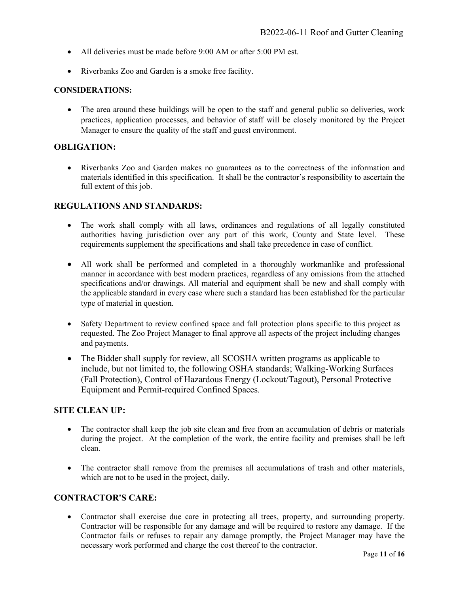- All deliveries must be made before 9:00 AM or after 5:00 PM est.
- Riverbanks Zoo and Garden is a smoke free facility.

#### **CONSIDERATIONS:**

• The area around these buildings will be open to the staff and general public so deliveries, work practices, application processes, and behavior of staff will be closely monitored by the Project Manager to ensure the quality of the staff and guest environment.

#### **OBLIGATION:**

• Riverbanks Zoo and Garden makes no guarantees as to the correctness of the information and materials identified in this specification. It shall be the contractor's responsibility to ascertain the full extent of this job.

#### **REGULATIONS AND STANDARDS:**

- The work shall comply with all laws, ordinances and regulations of all legally constituted authorities having jurisdiction over any part of this work, County and State level. These requirements supplement the specifications and shall take precedence in case of conflict.
- All work shall be performed and completed in a thoroughly workmanlike and professional manner in accordance with best modern practices, regardless of any omissions from the attached specifications and/or drawings. All material and equipment shall be new and shall comply with the applicable standard in every case where such a standard has been established for the particular type of material in question.
- Safety Department to review confined space and fall protection plans specific to this project as requested. The Zoo Project Manager to final approve all aspects of the project including changes and payments.
- The Bidder shall supply for review, all SCOSHA written programs as applicable to include, but not limited to, the following OSHA standards; Walking-Working Surfaces (Fall Protection), Control of Hazardous Energy (Lockout/Tagout), Personal Protective Equipment and Permit-required Confined Spaces.

#### **SITE CLEAN UP:**

- The contractor shall keep the job site clean and free from an accumulation of debris or materials during the project. At the completion of the work, the entire facility and premises shall be left clean.
- The contractor shall remove from the premises all accumulations of trash and other materials, which are not to be used in the project, daily.

#### **CONTRACTOR'S CARE:**

• Contractor shall exercise due care in protecting all trees, property, and surrounding property. Contractor will be responsible for any damage and will be required to restore any damage. If the Contractor fails or refuses to repair any damage promptly, the Project Manager may have the necessary work performed and charge the cost thereof to the contractor.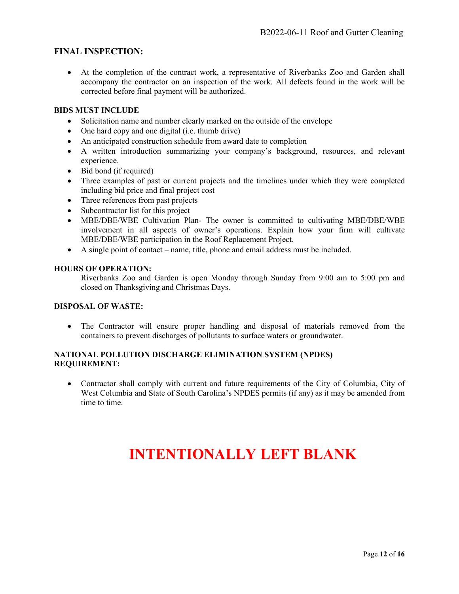#### **FINAL INSPECTION:**

• At the completion of the contract work, a representative of Riverbanks Zoo and Garden shall accompany the contractor on an inspection of the work. All defects found in the work will be corrected before final payment will be authorized.

#### **BIDS MUST INCLUDE**

- Solicitation name and number clearly marked on the outside of the envelope
- One hard copy and one digital (i.e. thumb drive)
- An anticipated construction schedule from award date to completion
- A written introduction summarizing your company's background, resources, and relevant experience.
- Bid bond (if required)
- Three examples of past or current projects and the timelines under which they were completed including bid price and final project cost
- Three references from past projects
- Subcontractor list for this project
- MBE/DBE/WBE Cultivation Plan- The owner is committed to cultivating MBE/DBE/WBE involvement in all aspects of owner's operations. Explain how your firm will cultivate MBE/DBE/WBE participation in the Roof Replacement Project.
- A single point of contact name, title, phone and email address must be included.

#### **HOURS OF OPERATION:**

Riverbanks Zoo and Garden is open Monday through Sunday from 9:00 am to 5:00 pm and closed on Thanksgiving and Christmas Days.

#### **DISPOSAL OF WASTE:**

• The Contractor will ensure proper handling and disposal of materials removed from the containers to prevent discharges of pollutants to surface waters or groundwater.

#### **NATIONAL POLLUTION DISCHARGE ELIMINATION SYSTEM (NPDES) REQUIREMENT:**

• Contractor shall comply with current and future requirements of the City of Columbia, City of West Columbia and State of South Carolina's NPDES permits (if any) as it may be amended from time to time.

# **INTENTIONALLY LEFT BLANK**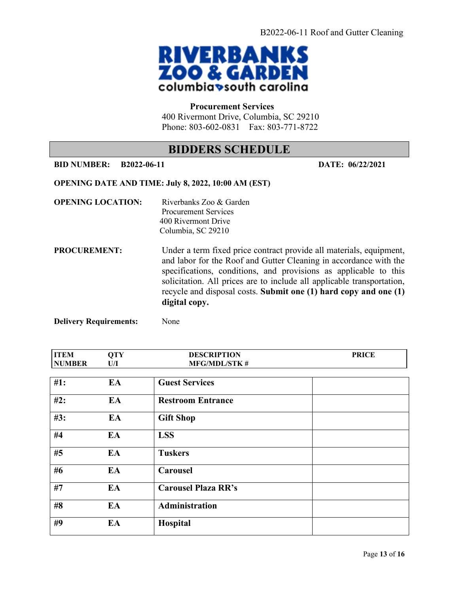

#### **Procurement Services**

400 Rivermont Drive, Columbia, SC 29210 Phone: 803-602-0831 Fax: 803-771-8722

### **BIDDERS SCHEDULE**

#### **BID NUMBER: B2022-06-11 DATE: 06/22/2021**

#### **OPENING DATE AND TIME: July 8, 2022, 10:00 AM (EST)**

| <b>OPENING LOCATION:</b> | Riverbanks Zoo & Garden<br><b>Procurement Services</b><br>400 Rivermont Drive<br>Columbia, SC 29210                                                                                                                                                                                                                                                                         |
|--------------------------|-----------------------------------------------------------------------------------------------------------------------------------------------------------------------------------------------------------------------------------------------------------------------------------------------------------------------------------------------------------------------------|
| <b>PROCUREMENT:</b>      | Under a term fixed price contract provide all materials, equipment,<br>and labor for the Roof and Gutter Cleaning in accordance with the<br>specifications, conditions, and provisions as applicable to this<br>solicitation. All prices are to include all applicable transportation,<br>recycle and disposal costs. Submit one (1) hard copy and one (1)<br>digital copy. |

**Delivery Requirements:** None

| <b>ITEM</b>   | <b>QTY</b> | <b>DESCRIPTION</b>         | <b>PRICE</b> |
|---------------|------------|----------------------------|--------------|
| <b>NUMBER</b> | U/I        | <b>MFG/MDL/STK#</b>        |              |
|               |            |                            |              |
| #1:           | EA         | <b>Guest Services</b>      |              |
| #2:           | EA         | <b>Restroom Entrance</b>   |              |
| #3:           | EA         | <b>Gift Shop</b>           |              |
| #4            | EA         | <b>LSS</b>                 |              |
| #5            | EA         | <b>Tuskers</b>             |              |
| #6            | EA         | <b>Carousel</b>            |              |
| #7            | EA         | <b>Carousel Plaza RR's</b> |              |
| #8            | EA         | Administration             |              |
| #9            | EA         | Hospital                   |              |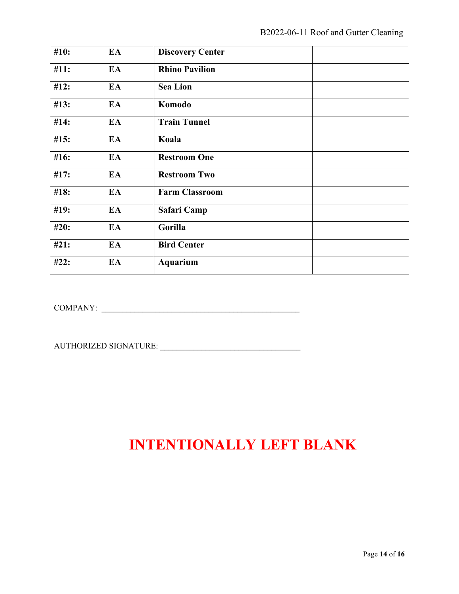| #10: | EA | <b>Discovery Center</b> |
|------|----|-------------------------|
| #11: | EA | <b>Rhino Pavilion</b>   |
| #12: | EA | <b>Sea Lion</b>         |
| #13: | EA | Komodo                  |
| #14: | EA | <b>Train Tunnel</b>     |
| #15: | EA | Koala                   |
| #16: | EA | <b>Restroom One</b>     |
| #17: | EA | <b>Restroom Two</b>     |
| #18: | EA | <b>Farm Classroom</b>   |
| #19: | EA | Safari Camp             |
| #20: | EA | Gorilla                 |
| #21: | EA | <b>Bird Center</b>      |
| #22: | EA | <b>Aquarium</b>         |

COMPANY: \_\_\_\_\_\_\_\_\_\_\_\_\_\_\_\_\_\_\_\_\_\_\_\_\_\_\_\_\_\_\_\_\_\_\_\_\_\_\_\_\_\_\_\_\_\_\_\_

AUTHORIZED SIGNATURE: \_\_\_\_\_\_\_\_\_\_\_\_\_\_\_\_\_\_\_\_\_\_\_\_\_\_\_\_\_\_\_\_\_\_

## **INTENTIONALLY LEFT BLANK**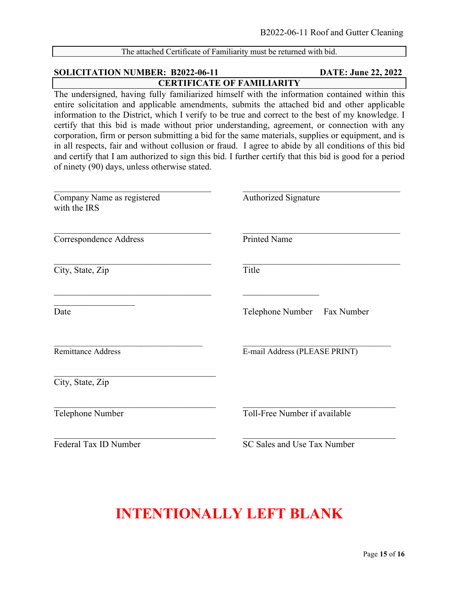| The attached Certificate of Familiarity must be returned with bid.                                                                                                                                                                                                                                                                                                                                                                                                                                                                                                                                                                                                                                                                                                           |                                |  |  |  |
|------------------------------------------------------------------------------------------------------------------------------------------------------------------------------------------------------------------------------------------------------------------------------------------------------------------------------------------------------------------------------------------------------------------------------------------------------------------------------------------------------------------------------------------------------------------------------------------------------------------------------------------------------------------------------------------------------------------------------------------------------------------------------|--------------------------------|--|--|--|
| <b>SOLICITATION NUMBER: B2022-06-11</b><br><b>DATE: June 22, 2022</b>                                                                                                                                                                                                                                                                                                                                                                                                                                                                                                                                                                                                                                                                                                        |                                |  |  |  |
| <b>CERTIFICATE OF FAMILIARITY</b>                                                                                                                                                                                                                                                                                                                                                                                                                                                                                                                                                                                                                                                                                                                                            |                                |  |  |  |
| The undersigned, having fully familiarized himself with the information contained within this<br>entire solicitation and applicable amendments, submits the attached bid and other applicable<br>information to the District, which I verify to be true and correct to the best of my knowledge. I<br>certify that this bid is made without prior understanding, agreement, or connection with any<br>corporation, firm or person submitting a bid for the same materials, supplies or equipment, and is<br>in all respects, fair and without collusion or fraud. I agree to abide by all conditions of this bid<br>and certify that I am authorized to sign this bid. I further certify that this bid is good for a period<br>of ninety (90) days, unless otherwise stated. |                                |  |  |  |
| Company Name as registered<br>with the IRS                                                                                                                                                                                                                                                                                                                                                                                                                                                                                                                                                                                                                                                                                                                                   | <b>Authorized Signature</b>    |  |  |  |
| Correspondence Address                                                                                                                                                                                                                                                                                                                                                                                                                                                                                                                                                                                                                                                                                                                                                       | <b>Printed Name</b>            |  |  |  |
| City, State, Zip                                                                                                                                                                                                                                                                                                                                                                                                                                                                                                                                                                                                                                                                                                                                                             | Title                          |  |  |  |
| Date                                                                                                                                                                                                                                                                                                                                                                                                                                                                                                                                                                                                                                                                                                                                                                         | Telephone Number<br>Fax Number |  |  |  |
| <b>Remittance Address</b>                                                                                                                                                                                                                                                                                                                                                                                                                                                                                                                                                                                                                                                                                                                                                    | E-mail Address (PLEASE PRINT)  |  |  |  |
| City, State, Zip                                                                                                                                                                                                                                                                                                                                                                                                                                                                                                                                                                                                                                                                                                                                                             |                                |  |  |  |
| Telephone Number                                                                                                                                                                                                                                                                                                                                                                                                                                                                                                                                                                                                                                                                                                                                                             | Toll-Free Number if available  |  |  |  |
| Federal Tax ID Number                                                                                                                                                                                                                                                                                                                                                                                                                                                                                                                                                                                                                                                                                                                                                        | SC Sales and Use Tax Number    |  |  |  |

## **INTENTIONALLY LEFT BLANK**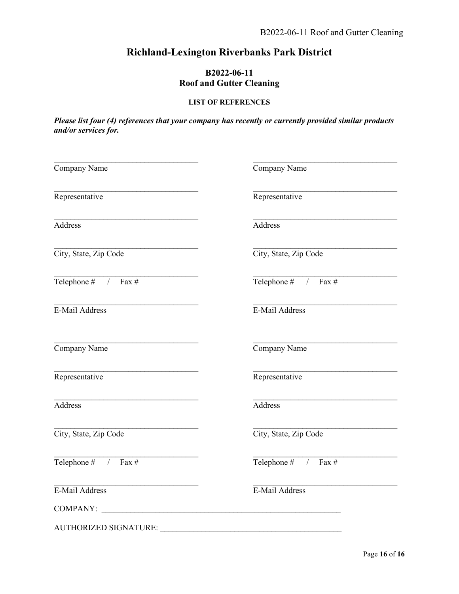### **Richland-Lexington Riverbanks Park District**

#### **B2022-06-11 Roof and Gutter Cleaning**

#### **LIST OF REFERENCES**

*Please list four (4) references that your company has recently or currently provided similar products and/or services for.* 

| Company Name          | Company Name                                                                                                         |
|-----------------------|----------------------------------------------------------------------------------------------------------------------|
| Representative        | Representative                                                                                                       |
| Address               | Address                                                                                                              |
| City, State, Zip Code | City, State, Zip Code                                                                                                |
| Telephone # $/$ Fax # | Telephone # $/$ Fax #                                                                                                |
| E-Mail Address        | E-Mail Address                                                                                                       |
| Company Name          | Company Name                                                                                                         |
| Representative        | Representative                                                                                                       |
| <b>Address</b>        | <b>Address</b>                                                                                                       |
| City, State, Zip Code | City, State, Zip Code                                                                                                |
| Telephone # $/$ Fax # | Telephone # $/$ Fax #                                                                                                |
| E-Mail Address        | E-Mail Address                                                                                                       |
| COMPANY:              |                                                                                                                      |
| AUTHORIZED SIGNATURE: | <u> 2008 - Jan Barbarat, martin da basar da basar da basar da basar da basar da basar da basar da basar da basar</u> |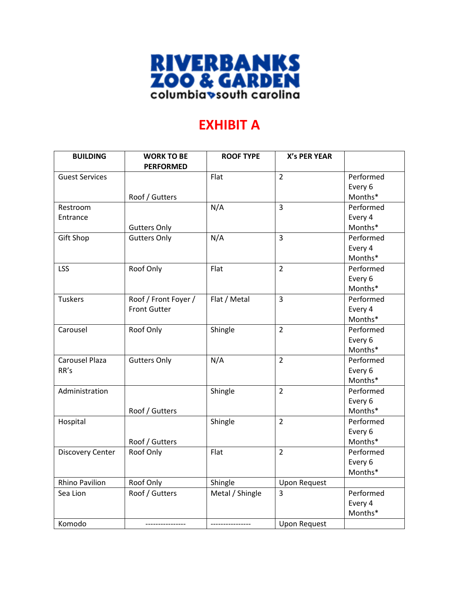

## **EXHIBIT A**

| <b>BUILDING</b>         | <b>WORK TO BE</b><br><b>PERFORMED</b> | <b>ROOF TYPE</b> | <b>X's PER YEAR</b> |           |
|-------------------------|---------------------------------------|------------------|---------------------|-----------|
| <b>Guest Services</b>   |                                       | Flat             | $\overline{2}$      | Performed |
|                         |                                       |                  |                     | Every 6   |
|                         | Roof / Gutters                        |                  |                     | Months*   |
| Restroom                |                                       | N/A              | $\overline{3}$      | Performed |
| Entrance                |                                       |                  |                     | Every 4   |
|                         | <b>Gutters Only</b>                   |                  |                     | Months*   |
| <b>Gift Shop</b>        | <b>Gutters Only</b>                   | N/A              | $\overline{3}$      | Performed |
|                         |                                       |                  |                     | Every 4   |
|                         |                                       |                  |                     | Months*   |
| <b>LSS</b>              | Roof Only                             | Flat             | $\overline{2}$      | Performed |
|                         |                                       |                  |                     | Every 6   |
|                         |                                       |                  |                     | Months*   |
| <b>Tuskers</b>          | Roof / Front Foyer /                  | Flat / Metal     | $\overline{3}$      | Performed |
|                         | <b>Front Gutter</b>                   |                  |                     | Every 4   |
|                         |                                       |                  |                     | Months*   |
| Carousel                | Roof Only                             | Shingle          | $\overline{2}$      | Performed |
|                         |                                       |                  |                     | Every 6   |
|                         |                                       |                  |                     | Months*   |
| <b>Carousel Plaza</b>   | <b>Gutters Only</b>                   | N/A              | $\overline{2}$      | Performed |
| RR's                    |                                       |                  |                     | Every 6   |
|                         |                                       |                  |                     | Months*   |
| Administration          |                                       | Shingle          | $\overline{2}$      | Performed |
|                         |                                       |                  |                     | Every 6   |
|                         | Roof / Gutters                        |                  |                     | Months*   |
| Hospital                |                                       | Shingle          | $\overline{2}$      | Performed |
|                         |                                       |                  |                     | Every 6   |
|                         | Roof / Gutters                        |                  |                     | Months*   |
| <b>Discovery Center</b> | Roof Only                             | Flat             | $\overline{2}$      | Performed |
|                         |                                       |                  |                     | Every 6   |
|                         |                                       |                  |                     | Months*   |
| <b>Rhino Pavilion</b>   | Roof Only                             | Shingle          | <b>Upon Request</b> |           |
| Sea Lion                | Roof / Gutters                        | Metal / Shingle  | 3                   | Performed |
|                         |                                       |                  |                     | Every 4   |
|                         |                                       |                  |                     | Months*   |
| Komodo                  |                                       | ---------------- | <b>Upon Request</b> |           |